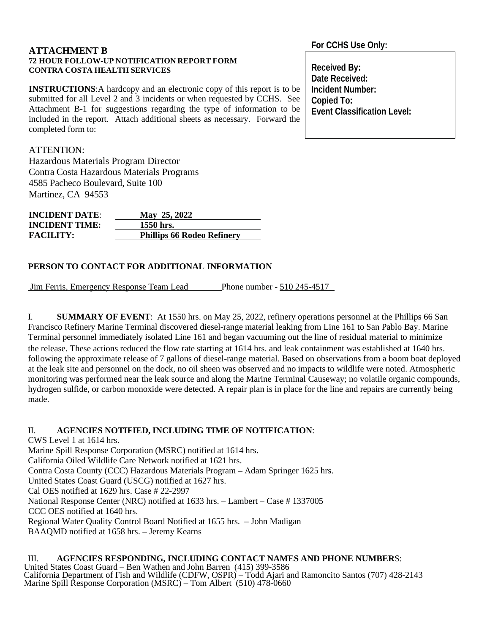#### **ATTACHMENT B 72 HOUR FOLLOW-UP NOTIFICATION REPORT FORM CONTRA COSTA HEALTH SERVICES**

**INSTRUCTIONS:**A hardcopy and an electronic copy of this report is to be submitted for all Level 2 and 3 incidents or when requested by CCHS. See Attachment B-1 for suggestions regarding the type of information to be included in the report. Attach additional sheets as necessary. Forward the completed form to:

# ATTENTION:

Hazardous Materials Program Director Contra Costa Hazardous Materials Programs 4585 Pacheco Boulevard, Suite 100 Martinez, CA 94553

| <b>INCIDENT DATE:</b> | May 25, 2022                      |
|-----------------------|-----------------------------------|
| <b>INCIDENT TIME:</b> | 1550 hrs.                         |
| <b>FACILITY:</b>      | <b>Phillips 66 Rodeo Refinery</b> |

# **PERSON TO CONTACT FOR ADDITIONAL INFORMATION**

Jim Ferris, Emergency Response Team Lead Phone number - 510 245-4517

I. **SUMMARY OF EVENT**: At 1550 hrs. on May 25, 2022, refinery operations personnel at the Phillips 66 San Francisco Refinery Marine Terminal discovered diesel-range material leaking from Line 161 to San Pablo Bay. Marine Terminal personnel immediately isolated Line 161 and began vacuuming out the line of residual material to minimize the release. These actions reduced the flow rate starting at 1614 hrs. and leak containment was established at 1640 hrs. following the approximate release of 7 gallons of diesel-range material. Based on observations from a boom boat deployed at the leak site and personnel on the dock, no oil sheen was observed and no impacts to wildlife were noted. Atmospheric monitoring was performed near the leak source and along the Marine Terminal Causeway; no volatile organic compounds, hydrogen sulfide, or carbon monoxide were detected. A repair plan is in place for the line and repairs are currently being made.

II. **AGENCIES NOTIFIED, INCLUDING TIME OF NOTIFICATION**: CWS Level 1 at 1614 hrs. Marine Spill Response Corporation (MSRC) notified at 1614 hrs. California Oiled Wildlife Care Network notified at 1621 hrs. Contra Costa County (CCC) Hazardous Materials Program – Adam Springer 1625 hrs. United States Coast Guard (USCG) notified at 1627 hrs. Cal OES notified at 1629 hrs. Case # 22-2997 National Response Center (NRC) notified at 1633 hrs. – Lambert – Case # 1337005 CCC OES notified at 1640 hrs. Regional Water Quality Control Board Notified at 1655 hrs. – John Madigan

BAAQMD notified at 1658 hrs. – Jeremy Kearns

#### III. **AGENCIES RESPONDING, INCLUDING CONTACT NAMES AND PHONE NUMBER**S: United States Coast Guard – Ben Wathen and John Barren (415) 399-3586 California Department of Fish and Wildlife (CDFW, OSPR) – Todd Ajari and Ramoncito Santos (707) 428-2143 Marine Spill Response Corporation (MSRC) – Tom Albert (510) 478-0660

# **For CCHS Use Only:**

| <b>Received By:</b>                |
|------------------------------------|
| Date Received:                     |
| Incident Number:                   |
| Copied To:                         |
| <b>Event Classification Level:</b> |
|                                    |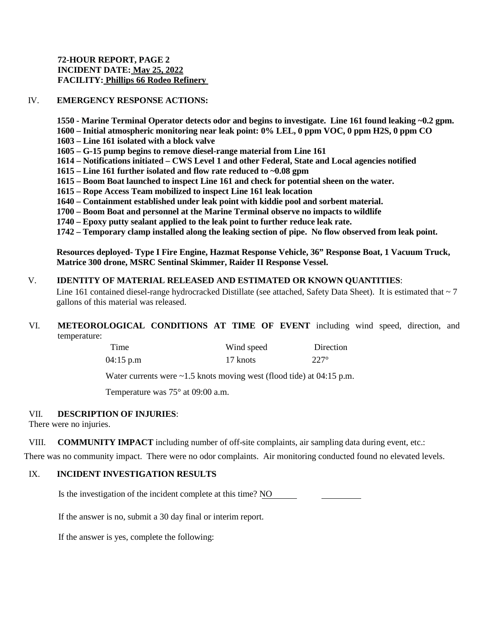# **72-HOUR REPORT, PAGE 2 INCIDENT DATE: May 25, 2022 FACILITY: Phillips 66 Rodeo Refinery**

# IV. **EMERGENCY RESPONSE ACTIONS:**

**1550 - Marine Terminal Operator detects odor and begins to investigate. Line 161 found leaking ~0.2 gpm.**

- **1600 – Initial atmospheric monitoring near leak point: 0% LEL, 0 ppm VOC, 0 ppm H2S, 0 ppm CO**
- **1603 – Line 161 isolated with a block valve**
- **1605 – G-15 pump begins to remove diesel-range material from Line 161**
- **1614 – Notifications initiated – CWS Level 1 and other Federal, State and Local agencies notified**
- **1615 – Line 161 further isolated and flow rate reduced to ~0.08 gpm**
- **1615 – Boom Boat launched to inspect Line 161 and check for potential sheen on the water.**
- **1615 – Rope Access Team mobilized to inspect Line 161 leak location**
- **1640 – Containment established under leak point with kiddie pool and sorbent material.**
- **1700 – Boom Boat and personnel at the Marine Terminal observe no impacts to wildlife**
- **1740 – Epoxy putty sealant applied to the leak point to further reduce leak rate.**

**1742 – Temporary clamp installed along the leaking section of pipe. No flow observed from leak point.**

**Resources deployed- Type I Fire Engine, Hazmat Response Vehicle, 36" Response Boat, 1 Vacuum Truck, Matrice 300 drone, MSRC Sentinal Skimmer, Raider II Response Vessel.**

#### V. **IDENTITY OF MATERIAL RELEASED AND ESTIMATED OR KNOWN QUANTITIES**:

Line 161 contained diesel-range hydrocracked Distillate (see attached, Safety Data Sheet). It is estimated that  $\sim$  7 gallons of this material was released.

# VI. **METEOROLOGICAL CONDITIONS AT TIME OF EVENT** including wind speed, direction, and temperature:

| Time      | Wind speed | Direction   |
|-----------|------------|-------------|
| 04:15 p.m | 17 knots   | $227^\circ$ |

Water currents were ~1.5 knots moving west (flood tide) at 04:15 p.m.

Temperature was 75° at 09:00 a.m.

# VII. **DESCRIPTION OF INJURIES**:

There were no injuries.

VIII. **COMMUNITY IMPACT** including number of off-site complaints, air sampling data during event, etc.:

There was no community impact. There were no odor complaints. Air monitoring conducted found no elevated levels.

# IX. **INCIDENT INVESTIGATION RESULTS**

Is the investigation of the incident complete at this time? NO

If the answer is no, submit a 30 day final or interim report.

If the answer is yes, complete the following: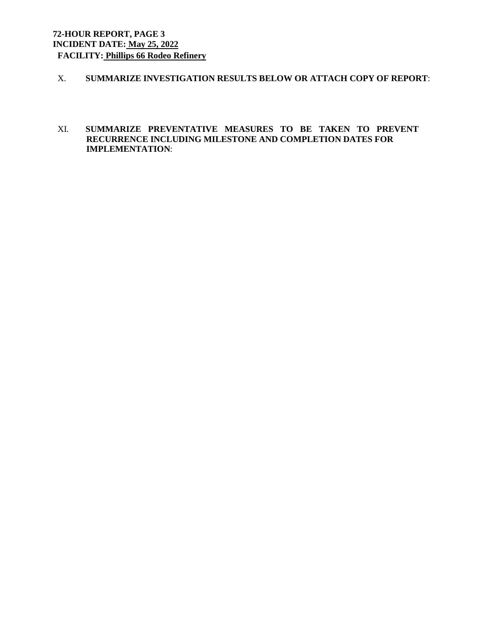# **72-HOUR REPORT, PAGE 3 INCIDENT DATE: May 25, 2022 FACILITY: Phillips 66 Rodeo Refinery**

- X. **SUMMARIZE INVESTIGATION RESULTS BELOW OR ATTACH COPY OF REPORT**:
- XI. **SUMMARIZE PREVENTATIVE MEASURES TO BE TAKEN TO PREVENT RECURRENCE INCLUDING MILESTONE AND COMPLETION DATES FOR IMPLEMENTATION**: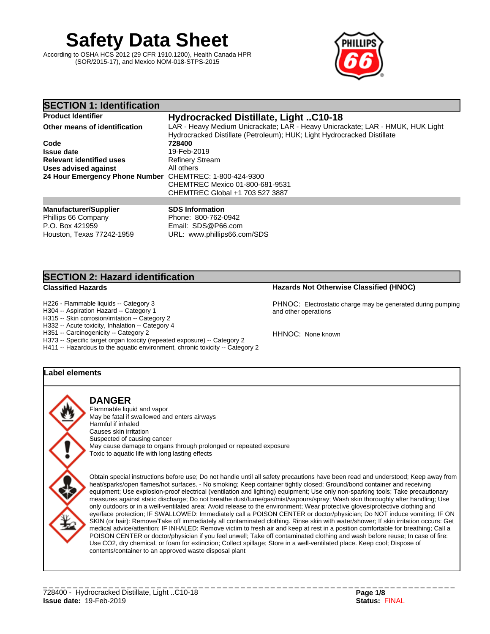# **Safety Data Sheet**

According to OSHA HCS 2012 (29 CFR 1910.1200), Health Canada HPR (SOR/2015-17), and Mexico NOM-018-STPS-2015



#### **SECTION 1: Identification Product Identifier Hydrocracked Distillate, Light ..C10-18 Other means of identification** LAR - Heavy Medium Unicrackate; LAR - Heavy Unicrackate; LAR - HMUK, HUK Light Hydrocracked Distillate (Petroleum); HUK; Light Hydrocracked Distillate **Code 728400 Issue date**<br> **Relevant identified uses**<br> **Refinery Stream Relevant identified uses** Refinery Stream Refinery Stream Refinery Stream Refinery Stream Refiners **Uses** advised against **24 Hour Emergency Phone Number** CHEMTREC: 1-800-424-9300 CHEMTREC Mexico 01-800-681-9531 CHEMTREC Global +1 703 527 3887 **Manufacturer/Supplier** Phillips 66 Company P.O. Box 421959 **SDS Information** Phone: 800-762-0942 Email: SDS@P66.com

URL: www.phillips66.com/SDS

**SECTION 2: Hazard identification**

Houston, Texas 77242-1959

H226 - Flammable liquids -- Category 3

H304 -- Aspiration Hazard -- Category 1

H315 -- Skin corrosion/irritation -- Category 2

H332 -- Acute toxicity, Inhalation -- Category 4

H351 -- Carcinogenicity -- Category 2

H373 -- Specific target organ toxicity (repeated exposure) -- Category 2

H411 -- Hazardous to the aquatic environment, chronic toxicity -- Category 2

# **Label elements**

**DANGER** Flammable liquid and vapor

May be fatal if swallowed and enters airways Harmful if inhaled Causes skin irritation Suspected of causing cancer May cause damage to organs through prolonged or repeated exposure Toxic to aquatic life with long lasting effects

Obtain special instructions before use; Do not handle until all safety precautions have been read and understood; Keep away from heat/sparks/open flames/hot surfaces. - No smoking; Keep container tightly closed; Ground/bond container and receiving equipment; Use explosion-proof electrical (ventilation and lighting) equipment; Use only non-sparking tools; Take precautionary measures against static discharge; Do not breathe dust/fume/gas/mist/vapours/spray; Wash skin thoroughly after handling; Use only outdoors or in a well-ventilated area; Avoid release to the environment; Wear protective gloves/protective clothing and eye/face protection; IF SWALLOWED: Immediately call a POISON CENTER or doctor/physician; Do NOT induce vomiting; IF ON SKIN (or hair): Remove/Take off immediately all contaminated clothing. Rinse skin with water/shower; If skin irritation occurs: Get medical advice/attention; IF INHALED: Remove victim to fresh air and keep at rest in a position comfortable for breathing; Call a POISON CENTER or doctor/physician if you feel unwell; Take off contaminated clothing and wash before reuse; In case of fire: Use CO2, dry chemical, or foam for extinction; Collect spillage; Store in a well-ventilated place. Keep cool; Dispose of contents/container to an approved waste disposal plant

**Classified Hazards Hazards Not Otherwise Classified (HNOC)**

PHNOC: Electrostatic charge may be generated during pumping and other operations

HHNOC: None known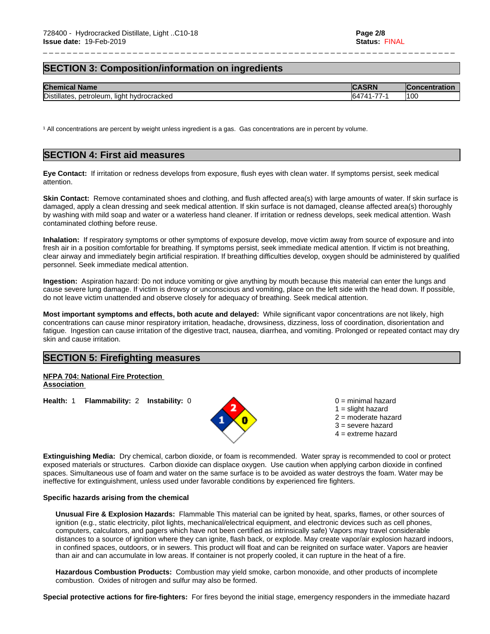# **SECTION 3: Composition/information on ingredients**

| <b>Chem</b><br>Name<br>mica.                                         |         | ------ |
|----------------------------------------------------------------------|---------|--------|
| Distilla<br>' hvdrocrackeo<br>liah:<br>netroleum<br>'lates<br>Tacket | --<br>M | 100    |

\_ \_ \_ \_ \_ \_ \_ \_ \_ \_ \_ \_ \_ \_ \_ \_ \_ \_ \_ \_ \_ \_ \_ \_ \_ \_ \_ \_ \_ \_ \_ \_ \_ \_ \_ \_ \_ \_ \_ \_ \_ \_ \_ \_ \_ \_ \_ \_ \_ \_ \_ \_ \_ \_ \_ \_ \_ \_ \_ \_ \_ \_ \_ \_ \_ \_ \_ \_ \_

<sup>1</sup> All concentrations are percent by weight unless ingredient is a gas. Gas concentrations are in percent by volume.

# **SECTION 4: First aid measures**

**Eye Contact:** Ifirritation or redness develops from exposure, flush eyes with clean water. If symptoms persist, seek medical attention.

**Skin Contact:** Remove contaminated shoes and clothing, and flush affected area(s) with large amounts of water. If skin surface is damaged, apply a clean dressing and seek medical attention. If skin surface is not damaged, cleanse affected area(s) thoroughly by washing with mild soap and water or a waterless hand cleaner. If irritation or redness develops, seek medical attention. Wash contaminated clothing before reuse.

**Inhalation:** If respiratory symptoms or other symptoms of exposure develop, move victim away from source of exposure and into fresh air in a position comfortable for breathing. If symptoms persist, seek immediate medical attention. If victim is not breathing, clear airway and immediately begin artificial respiration. If breathing difficulties develop, oxygen should be administered by qualified personnel. Seek immediate medical attention.

**Ingestion:** Aspiration hazard: Do not induce vomiting or give anything by mouth because this material can enter the lungs and cause severe lung damage. If victim is drowsy or unconscious and vomiting, place on the left side with the head down. If possible, do not leave victim unattendedand observe closely for adequacy of breathing. Seek medical attention.

**Most important symptoms and effects, both acute and delayed:** While significant vapor concentrations are not likely, high concentrations can cause minor respiratory irritation, headache, drowsiness, dizziness, loss of coordination, disorientation and fatigue. Ingestion can cause irritation of the digestive tract, nausea, diarrhea, and vomiting. Prolonged or repeated contact may dry skin and cause irritation.

#### **SECTION 5: Firefighting measures**

**NFPA 704: National Fire Protection Association** 

**Health:** 1 **Flammability:** 2 **Instability:** 0 0 = minimal hazard



 $1 =$  slight hazard 2 = moderate hazard  $3$  = severe hazard  $4 =$  extreme hazard

**Extinguishing Media:** Dry chemical, carbon dioxide, or foam is recommended. Water spray is recommended to cool or protect exposed materials or structures. Carbon dioxide can displace oxygen. Use caution when applying carbon dioxide in confined spaces. Simultaneous use of foam and water on the same surface is to be avoided as water destroys the foam. Water may be ineffective for extinguishment, unless used under favorable conditions by experienced fire fighters.

#### **Specific hazards arising from the chemical**

**Unusual Fire & Explosion Hazards:** Flammable This material can be ignited by heat, sparks, flames, or other sources of ignition (e.g., static electricity, pilot lights, mechanical/electrical equipment, and electronic devices such as cell phones, computers, calculators, and pagers which have not been certified as intrinsically safe) Vapors may travel considerable distances to a source of ignition where they can ignite, flash back, or explode. May create vapor/air explosion hazard indoors, in confined spaces, outdoors, or in sewers. This product willfloat and can be reignited on surface water. Vapors are heavier than air and can accumulate in low areas. If container is not properly cooled, it can rupture in the heat of a fire.

**Hazardous Combustion Products:** Combustion may yield smoke, carbon monoxide, and other products of incomplete combustion. Oxides of nitrogen and sulfur may also be formed.

**Special protective actions for fire-fighters:** For fires beyond the initial stage, emergency responders in the immediate hazard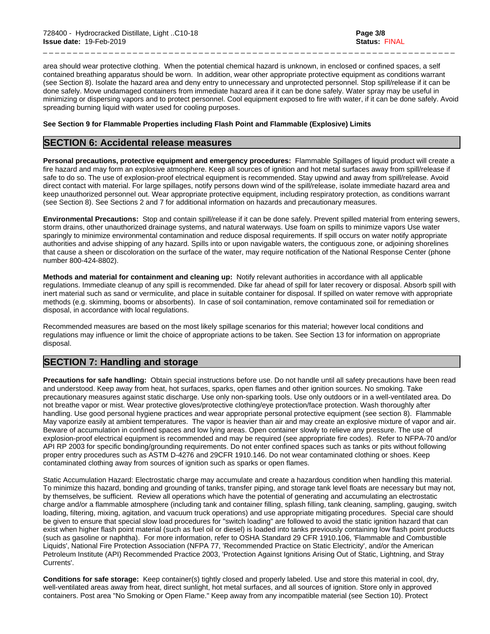area should wear protective clothing. When the potential chemical hazard is unknown, in enclosed or confined spaces, a self contained breathing apparatus should be worn. In addition, wear other appropriate protective equipment as conditions warrant (see Section 8). Isolate the hazard area and deny entry to unnecessary and unprotected personnel. Stop spill/release if it can be done safely. Move undamaged containers from immediate hazard area if it can be done safely. Water spray may be useful in minimizing or dispersing vapors and to protect personnel. Cool equipment exposed to fire with water, if it can be done safely. Avoid spreading burning liquid with water used for cooling purposes.

\_ \_ \_ \_ \_ \_ \_ \_ \_ \_ \_ \_ \_ \_ \_ \_ \_ \_ \_ \_ \_ \_ \_ \_ \_ \_ \_ \_ \_ \_ \_ \_ \_ \_ \_ \_ \_ \_ \_ \_ \_ \_ \_ \_ \_ \_ \_ \_ \_ \_ \_ \_ \_ \_ \_ \_ \_ \_ \_ \_ \_ \_ \_ \_ \_ \_ \_ \_ \_

#### **See Section 9 for Flammable Properties including Flash Point and Flammable (Explosive) Limits**

#### **SECTION 6: Accidental release measures**

**Personal precautions, protective equipment and emergency procedures:** Flammable Spillages of liquid product will create a fire hazard and may form an explosive atmosphere. Keep all sources of ignition and hot metal surfaces away from spill/release if safe to do so. The use of explosion-proof electrical equipment is recommended. Stay upwind and away from spill/release. Avoid direct contact with material. For large spillages, notify persons down wind of the spill/release, isolate immediate hazard area and keep unauthorized personnel out. Wear appropriate protective equipment, including respiratory protection, as conditions warrant (see Section 8). See Sections 2 and 7 foradditional information on hazards and precautionary measures.

**Environmental Precautions:** Stop and contain spill/release if it can be done safely. Prevent spilled material from entering sewers, storm drains, other unauthorized drainage systems, and natural waterways. Use foam on spills to minimize vapors Use water sparingly to minimize environmental contamination and reduce disposal requirements. If spill occurs on water notify appropriate authorities and advise shipping of any hazard. Spills into or upon navigable waters, the contiguous zone, or adjoining shorelines that cause a sheen or discoloration on the surface of the water, may require notification of the National Response Center (phone number 800-424-8802).

**Methods and material for containment and cleaning up:** Notify relevant authorities in accordance with all applicable regulations. Immediate cleanup of any spill is recommended. Dike far ahead of spill for later recovery or disposal. Absorb spill with inert material such as sand or vermiculite, and place in suitable container for disposal. If spilled on water remove with appropriate methods (e.g. skimming, booms or absorbents). In case of soil contamination, remove contaminated soil for remediation or disposal, in accordance with local regulations.

Recommended measures are based on the most likely spillage scenarios for this material; however local conditions and regulations may influence or limit the choice of appropriate actions to be taken. See Section 13 for information on appropriate disposal.

# **SECTION 7: Handling and storage**

**Precautions for safe handling:** Obtain special instructions before use. Do not handle until all safety precautions have been read and understood. Keep away from heat, hot surfaces, sparks, open flames and other ignition sources. No smoking. Take precautionary measures against static discharge. Use only non-sparking tools. Use only outdoors or in a well-ventilated area. Do not breathe vapor or mist. Wear protective gloves/protective clothing/eye protection/face protection. Wash thoroughly after handling. Use good personal hygiene practices and wear appropriate personal protective equipment (see section 8). Flammable May vaporize easily at ambient temperatures. The vapor is heavier than air and may create an explosive mixture of vapor and air. Beware of accumulation in confined spaces and low lying areas. Open container slowly to relieve any pressure. The use of explosion-proof electrical equipment is recommended and may be required (see appropriate fire codes). Refer to NFPA-70 and/or API RP 2003 for specific bonding/grounding requirements. Do not enterconfined spaces such as tanks or pits without following proper entry procedures such as ASTM D-4276 and 29CFR 1910.146. Do not wear contaminated clothing or shoes. Keep contaminated clothing away from sources of ignition such as sparks or open flames.

Static Accumulation Hazard: Electrostatic charge may accumulate and create a hazardous condition when handling this material. To minimize this hazard, bonding and grounding of tanks, transfer piping, and storage tank level floats are necessary but may not, by themselves, be sufficient. Review all operations which have the potential of generating and accumulating an electrostatic charge and/or a flammable atmosphere (including tank and container filling, splash filling, tank cleaning, sampling, gauging, switch loading, filtering, mixing, agitation, and vacuum truck operations) and use appropriate mitigating procedures. Special care should be given to ensure that special slow load procedures for "switch loading" are followed to avoid the static ignition hazard that can exist when higher flash point material(such as fuel oil or diesel) is loaded into tanks previously containing low flash point products (such as gasoline or naphtha). For more information, refer to OSHA Standard 29 CFR 1910.106, 'Flammable and Combustible Liquids', National Fire Protection Association (NFPA 77, 'Recommended Practice on Static Electricity', and/or the American Petroleum Institute (API) Recommended Practice 2003, 'Protection Against Ignitions Arising Out of Static, Lightning, and Stray Currents'.

**Conditions for safe storage:**Keep container(s) tightly closed and properly labeled. Use and store this material in cool, dry, well-ventilated areas away from heat, direct sunlight, hot metal surfaces, and all sources of ignition. Store only in approved containers. Post area "No Smoking or Open Flame." Keep away from any incompatible material (see Section 10). Protect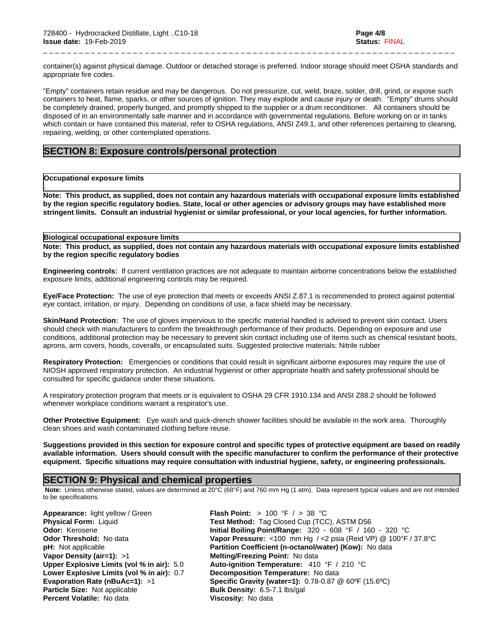container(s) against physical damage. Outdoor or detached storage is preferred. Indoor storage should meet OSHA standards and appropriate fire codes.

\_ \_ \_ \_ \_ \_ \_ \_ \_ \_ \_ \_ \_ \_ \_ \_ \_ \_ \_ \_ \_ \_ \_ \_ \_ \_ \_ \_ \_ \_ \_ \_ \_ \_ \_ \_ \_ \_ \_ \_ \_ \_ \_ \_ \_ \_ \_ \_ \_ \_ \_ \_ \_ \_ \_ \_ \_ \_ \_ \_ \_ \_ \_ \_ \_ \_ \_ \_ \_

"Empty" containers retain residue and may be dangerous. Do not pressurize, cut, weld, braze, solder, drill, grind, or expose such containers to heat, flame, sparks, or other sources of ignition. They may explode and cause injury or death."Empty" drums should be completely drained, properly bunged, and promptly shipped to the supplier or a drum reconditioner. All containers should be disposed of in an environmentally safe manner and in accordance with governmental regulations. Before working on or in tanks which contain or have contained this material, refer to OSHA regulations, ANSI Z49.1, and other references pertaining to cleaning, repairing, welding, or other contemplated operations.

#### **SECTION 8: Exposure controls/personal protection**

#### **Occupational exposure limits**

.

Note: This product, as supplied, does not contain any hazardous materials with occupational exposure limits established by the region specific regulatory bodies. State, local or other agencies or advisory groups may have established more stringent limits. Consult an industrial hygienist or similar professional, or your local agencies, for further information.

#### **Biological occupational exposure limits**

Note: This product, as supplied, does not contain any hazardous materials with occupational exposure limits established **by the region specific regulatory bodies**

**Engineering controls:** If current ventilation practices are not adequate to maintain airborne concentrations below the established exposure limits, additional engineering controls may be required.

**Eye/Face Protection:** The use of eye protection that meets or exceeds ANSI Z.87.1 isrecommended to protect against potential eye contact, irritation, or injury. Depending on conditions of use, a face shield may be necessary.

**Skin/Hand Protection:** The use of gloves impervious to the specific material handled is advised to prevent skin contact. Users should check with manufacturers to confirm the breakthrough performance of their products. Depending on exposure and use conditions, additional protection may be necessary to prevent skin contact including use of items such as chemical resistant boots, aprons, arm covers, hoods, coveralls, or encapsulated suits. Suggested protective materials: Nitrile rubber

**Respiratory Protection:** Emergencies or conditions that could result in significant airborne exposures may require the use of NIOSH approved respiratory protection. An industrial hygienist or other appropriate health and safety professional should be consulted for specific guidance under these situations.

A respiratory protection program that meets or is equivalent to OSHA 29 CFR 1910.134 and ANSI Z88.2 should be followed whenever workplace conditions warrant a respirator's use.

**Other Protective Equipment:** Eye wash and quick-drench shower facilities should be available in the work area. Thoroughly clean shoes and wash contaminated clothing before reuse.

Suggestions provided in this section for exposure control and specific types of protective equipment are based on readily available information. Users should consult with the specific manufacturer to confirm the performance of their protective **equipment. Specific situations may require consultation with industrial hygiene, safety, or engineering professionals.**

#### **SECTION 9: Physical and chemical properties**

 **Note:** Unless otherwise stated, values are determined at 20°C (68°F) and 760 mm Hg (1 atm). Data represent typical values and are not intended to be specifications.

**Appearance:** light yellow / Green **Flash Point:** > 100 °F / > 38 °C **Vapor Density (air=1):** >1 **Melting/Freezing Point:** No data **Lower Explosive Limits (vol% in air):** 0.7 **Decomposition Temperature:** No data **Particle Size:** Not applicable **Bulk Density:** 6.5-7.1 lbs/gal **Percent Volatile:** No data **Viscosity:** No data

**Physical Form:** Liquid **Test Method:** Tag Closed Cup (TCC), ASTM D56 **Odor:** Kerosene **Initial Boiling Point/Range:** 320 - 608 °F / 160 - 320 °C **Odor Threshold:** No data **Vapor Pressure:** <100 mm Hg / <2 psia (Reid VP) @ 100°F / 37.8°C **pH:** Not applicable **Partition Coefficient (n-octanol/water) (Kow):** No data **Upper Explosive Limits (vol% in air):** 5.0 **Auto-ignition Temperature:** 410 °F / 210 °C **Evaporation Rate (nBuAc=1):** >1 **Specific Gravity (water=1):** 0.78-0.87 @ 60ºF (15.6ºC)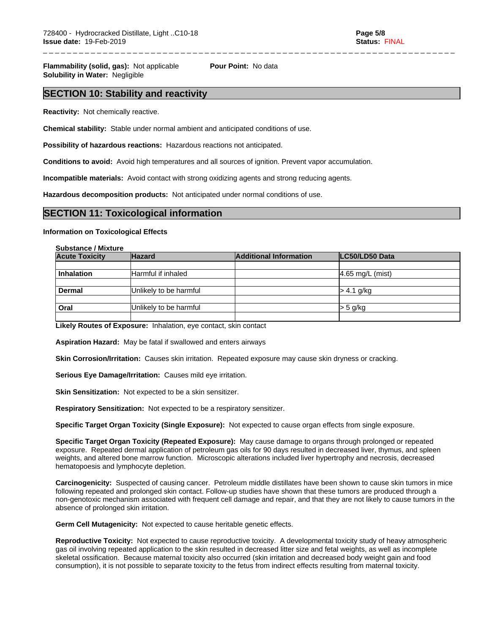\_ \_ \_ \_ \_ \_ \_ \_ \_ \_ \_ \_ \_ \_ \_ \_ \_ \_ \_ \_ \_ \_ \_ \_ \_ \_ \_ \_ \_ \_ \_ \_ \_ \_ \_ \_ \_ \_ \_ \_ \_ \_ \_ \_ \_ \_ \_ \_ \_ \_ \_ \_ \_ \_ \_ \_ \_ \_ \_ \_ \_ \_ \_ \_ \_ \_ \_ \_ \_

**Flammability (solid, gas):** Not applicable **Pour Point:** No data **Solubility in Water:** Negligible

# **SECTION 10: Stability and reactivity**

**Reactivity:** Not chemically reactive.

**Chemical stability:** Stable under normal ambient and anticipated conditions of use.

**Possibility of hazardous reactions:** Hazardous reactions not anticipated.

**Conditions to avoid:** Avoid high temperatures and all sources of ignition. Prevent vapor accumulation.

**Incompatible materials:** Avoid contact with strong oxidizing agents and strong reducing agents.

**Hazardous decomposition products:** Not anticipated under normal conditions of use.

#### **SECTION 11: Toxicological information**

**Information on Toxicological Effects**

#### **Substance / Mixture**

| <b>Acute Toxicity</b> | <b>Hazard</b>          | <b>Additional Information</b> | LC50/LD50 Data     |  |
|-----------------------|------------------------|-------------------------------|--------------------|--|
|                       |                        |                               |                    |  |
| <b>Inhalation</b>     | Harmful if inhaled     |                               | $4.65$ mg/L (mist) |  |
|                       |                        |                               |                    |  |
| <b>Dermal</b>         | Unlikely to be harmful |                               | l> 4.1 g/kg        |  |
|                       |                        |                               |                    |  |
| Oral                  | Unlikely to be harmful |                               | $>$ 5 g/kg         |  |
|                       |                        |                               |                    |  |

**Likely Routes of Exposure:** Inhalation, eye contact, skin contact

**Aspiration Hazard:** May be fatal if swallowed and enters airways

**Skin Corrosion/Irritation:** Causes skin irritation. Repeated exposure may cause skin dryness or cracking.

**Serious Eye Damage/Irritation:** Causes mild eye irritation.

**Skin Sensitization:** Not expected to be a skin sensitizer.

**Respiratory Sensitization:** Not expected to be a respiratory sensitizer.

**Specific Target Organ Toxicity (Single Exposure):** Not expected to cause organ effects from single exposure.

**Specific Target Organ Toxicity (Repeated Exposure):** May cause damage to organs through prolonged or repeated exposure. Repeated dermal application of petroleum gas oils for 90 days resulted in decreased liver, thymus, and spleen weights, and altered bone marrow function. Microscopic alterations included liver hypertrophy and necrosis, decreased hematopoesis and lymphocyte depletion.

**Carcinogenicity:** Suspected of causing cancer. Petroleum middle distillates have been shown to cause skin tumors in mice following repeated and prolonged skin contact. Follow-up studies have shown that these tumors are produced through a non-genotoxic mechanism associated with frequent cell damage and repair, and that they are not likely to cause tumors in the absence of prolonged skin irritation.

**Germ Cell Mutagenicity:** Not expected to cause heritable genetic effects.

**Reproductive Toxicity:** Not expected to cause reproductive toxicity. A developmental toxicity study of heavy atmospheric gas oil involving repeated application to the skin resulted in decreased litter size and fetal weights, as well as incomplete skeletal ossification. Because maternal toxicity also occurred (skin irritation and decreased body weight gain and food consumption), it is not possible to separate toxicity to the fetus from indirect effects resulting from maternal toxicity.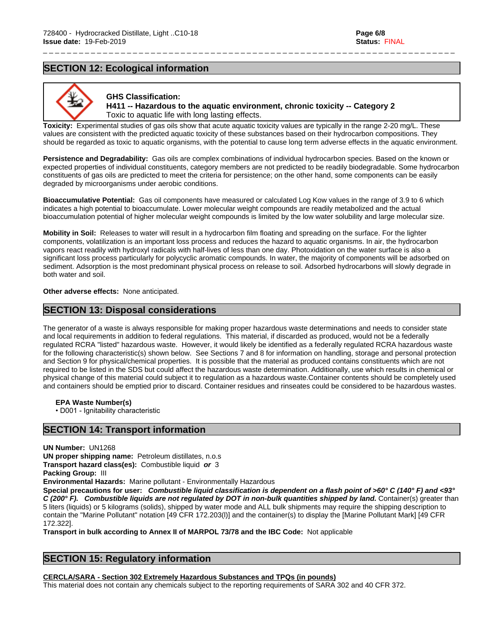# **SECTION 12: Ecological information**



#### **GHS Classification: H411 -- Hazardous to the aquatic environment, chronic toxicity -- Category 2** Toxic to aquatic life with long lasting effects.

\_ \_ \_ \_ \_ \_ \_ \_ \_ \_ \_ \_ \_ \_ \_ \_ \_ \_ \_ \_ \_ \_ \_ \_ \_ \_ \_ \_ \_ \_ \_ \_ \_ \_ \_ \_ \_ \_ \_ \_ \_ \_ \_ \_ \_ \_ \_ \_ \_ \_ \_ \_ \_ \_ \_ \_ \_ \_ \_ \_ \_ \_ \_ \_ \_ \_ \_ \_ \_

**Toxicity:** Experimental studies of gas oils show that acute aquatic toxicity values are typically in the range 2-20 mg/L. These values are consistent with the predicted aquatic toxicity of these substances based on their hydrocarbon compositions. They should be regarded as toxic to aquatic organisms, with the potential to cause long term adverse effects in the aquatic environment.

**Persistence and Degradability:** Gas oils are complex combinations of individual hydrocarbon species. Based on the known or expected properties of individual constituents, category members are not predicted to be readily biodegradable. Some hydrocarbon constituents of gas oils are predicted to meet the criteria for persistence; on the other hand, some components can be easily degraded by microorganisms under aerobic conditions.

**Bioaccumulative Potential:** Gas oil components have measured or calculated Log Kow values in the range of 3.9 to 6 which indicates a high potential to bioaccumulate. Lower molecular weight compounds are readily metabolized and the actual bioaccumulation potential of higher molecular weight compounds is limited by the low water solubility and large molecular size.

**Mobility in Soil:** Releases to water will result in a hydrocarbon film floating and spreading on the surface. For the lighter components, volatilization is an important loss process and reduces the hazard to aquatic organisms. In air, the hydrocarbon vapors react readily with hydroxyl radicals with half-lives of less than one day. Photoxidation on the water surface is also a significant loss process particularly for polycyclic aromatic compounds. In water, the majority of components will be adsorbed on sediment. Adsorption is the most predominant physical process on release to soil. Adsorbed hydrocarbons will slowly degrade in both water and soil.

**Other adverse effects:** None anticipated.

# **SECTION 13: Disposal considerations**

The generator of a waste is always responsible for making proper hazardous waste determinations and needs to consider state and local requirements in addition to federal regulations. This material, if discarded as produced, would not be a federally regulated RCRA "listed" hazardous waste. However, it would likely be identified as a federally regulated RCRA hazardous waste for the following characteristic(s) shown below. See Sections 7 and 8 for information on handling, storage and personal protection and Section 9 for physical/chemical properties. It is possible that the material as produced contains constituents which are not required to be listed in the SDS but could affect the hazardous waste determination. Additionally, use which results in chemical or physical change of this material could subject it to regulation as a hazardous waste.Container contents should be completely used and containers should be emptied prior to discard. Container residues and rinseates could be considered to be hazardous wastes.

**EPA** Waste Number(s)

• D001 - Ignitability characteristic

# **SECTION 14: Transport information**

**UN Number:** UN1268

**UN proper shipping name:** Petroleum distillates, n.o.s

**Transport hazard class(es):** Combustible liquid *or* 3

**Packing Group:** III

**Environmental Hazards:** Marine pollutant - Environmentally Hazardous

Special precautions for user: Combustible liquid classification is dependent on a flash point of >60° C (140° F) and <93° *C (200° F). Combustible liquids are not regulated by DOT in non-bulk quantities shipped by land.* Container(s) greater than 5 liters (liquids) or 5 kilograms (solids), shipped by water mode and ALL bulk shipments may require the shipping description to contain the "Marine Pollutant" notation [49 CFR 172.203(l)] and the container(s) to display the [Marine Pollutant Mark] [49 CFR 172.322].

**Transport in bulk according to Annex II of MARPOL 73/78 and the IBC Code:** Not applicable

# **SECTION 15: Regulatory information**

**CERCLA/SARA - Section 302 Extremely Hazardous Substances and TPQs (in pounds)**

This material does not contain any chemicals subject to the reporting requirements of SARA 302 and 40 CFR 372.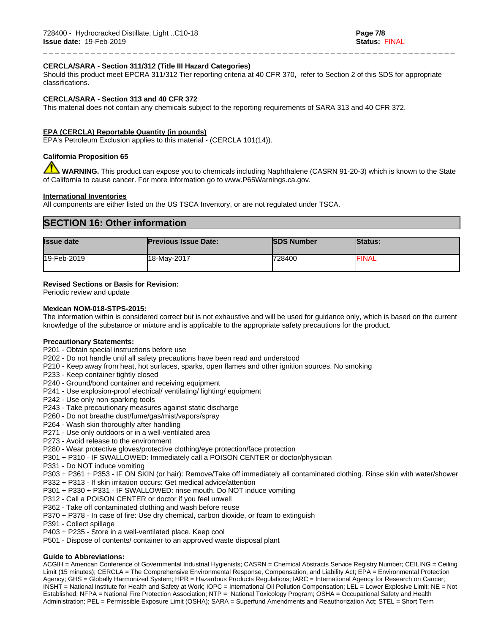#### **CERCLA/SARA - Section 311/312 (Title III Hazard Categories)**

Should this product meet EPCRA 311/312 Tier reporting criteria at 40 CFR 370, refer to Section 2 of this SDS for appropriate classifications.

\_ \_ \_ \_ \_ \_ \_ \_ \_ \_ \_ \_ \_ \_ \_ \_ \_ \_ \_ \_ \_ \_ \_ \_ \_ \_ \_ \_ \_ \_ \_ \_ \_ \_ \_ \_ \_ \_ \_ \_ \_ \_ \_ \_ \_ \_ \_ \_ \_ \_ \_ \_ \_ \_ \_ \_ \_ \_ \_ \_ \_ \_ \_ \_ \_ \_ \_ \_ \_

#### **CERCLA/SARA - Section 313 and 40 CFR 372**

This material does not contain any chemicals subject to the reporting requirements of SARA 313 and 40 CFR 372.

#### **EPA (CERCLA) Reportable Quantity (in pounds)**

EPA's Petroleum Exclusion applies to this material - (CERCLA 101(14)).

#### **California Proposition 65**

 **WARNING.** This product can expose you to chemicals including Naphthalene (CASRN 91-20-3) which is known to the State of California to cause cancer. For more information go to www.P65Warnings.ca.gov.

#### **International Inventories**

All components are either listed on the US TSCA Inventory, or are not regulated under TSCA.

#### **SECTION 16: Other information**

| <b>Issue date</b> | <b>Previous Issue Date:</b> | <b>ISDS Number</b> | <b>Status:</b> |
|-------------------|-----------------------------|--------------------|----------------|
| 19-Feb-2019       | 18-Mav-2017                 | 728400             | <b>FINAL</b>   |

#### **Revised Sections or Basis for Revision:**

Periodic review and update

#### **Mexican NOM-018-STPS-2015:**

The information within is considered correct but is not exhaustive and will be used for guidance only, which isbased on the current knowledge of the substance or mixture and is applicable to the appropriate safety precautions for the product.

#### **Precautionary Statements:**

- P201 Obtain special instructions before use
- P202 Do not handle until all safety precautions have been read and understood
- P210 Keep away from heat, hot surfaces, sparks, open flames and other ignition sources. No smoking
- P233 Keep container tightly closed
- P240 Ground/bond container and receiving equipment
- P241 Use explosion-proof electrical/ ventilating/ lighting/ equipment
- P242 Use only non-sparking tools
- P243 Take precautionary measures against static discharge
- P260 Do not breathe dust/fume/gas/mist/vapors/spray
- P264 Wash skin thoroughly after handling
- P271 Use only outdoors or in a well-ventilated area
- P273 Avoid release to the environment
- P280 Wear protective gloves/protective clothing/eye protection/face protection
- P301 + P310 IF SWALLOWED: Immediately call a POISON CENTER or doctor/physician
- P331 Do NOT induce vomiting
- P303 + P361 + P353 IF ON SKIN (or hair): Remove/Take off immediately all contaminated clothing. Rinse skin with water/shower
- P332 + P313 If skin irritation occurs: Get medical advice/attention
- P301 + P330 + P331 IF SWALLOWED: rinse mouth. Do NOT induce vomiting
- P312 Call a POISON CENTER or doctor if you feel unwell
- P362 Take off contaminated clothing and wash before reuse
- P370 + P378 In case of fire: Use dry chemical, carbon dioxide, or foam to extinguish
- P391 Collect spillage
- P403 + P235 Store in a well-ventilated place. Keep cool
- P501 Dispose of contents/ container to an approved waste disposal plant

#### **Guide to Abbreviations:**

ACGIH = American Conference of Governmental Industrial Hygienists; CASRN = Chemical Abstracts Service Registry Number; CEILING = Ceiling Limit (15 minutes); CERCLA = The Comprehensive Environmental Response, Compensation, and Liability Act; EPA = Environmental Protection Agency; GHS = Globally Harmonized System; HPR = Hazardous Products Regulations; IARC = International Agency for Research on Cancer; INSHT = National Institute for Health and Safety at Work; IOPC = International Oil Pollution Compensation; LEL = Lower Explosive Limit; NE = Not Established; NFPA = National Fire Protection Association; NTP = National Toxicology Program; OSHA = Occupational Safety and Health Administration; PEL = Permissible Exposure Limit (OSHA); SARA = Superfund Amendments and Reauthorization Act; STEL = Short Term